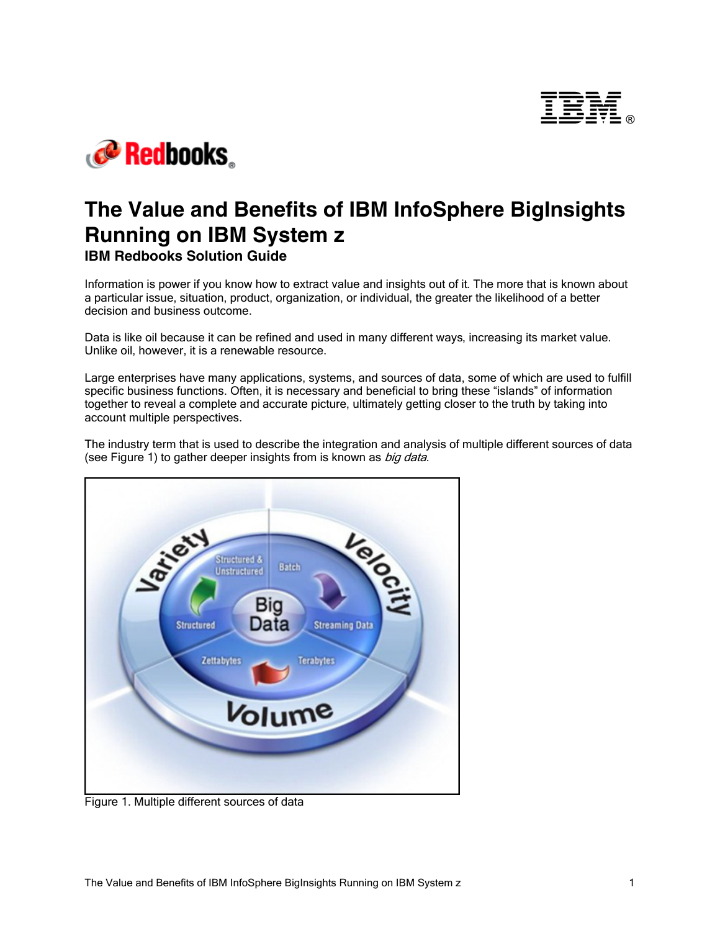



# **The Value and Benefits of IBM InfoSphere BigInsights Running on IBM System z IBM Redbooks Solution Guide**

Information is power if you know how to extract value and insights out of it. The more that is known about a particular issue, situation, product, organization, or individual, the greater the likelihood of a better decision and business outcome.

Data is like oil because it can be refined and used in many different ways, increasing its market value. Unlike oil, however, it is a renewable resource.

Large enterprises have many applications, systems, and sources of data, some of which are used to fulfill specific business functions. Often, it is necessary and beneficial to bring these "islands" of information together to reveal a complete and accurate picture, ultimately getting closer to the truth by taking into account multiple perspectives.

The industry term that is used to describe the integration and analysis of multiple different sources of data (see Figure 1) to gather deeper insights from is known as big data.



Figure 1. Multiple different sources of data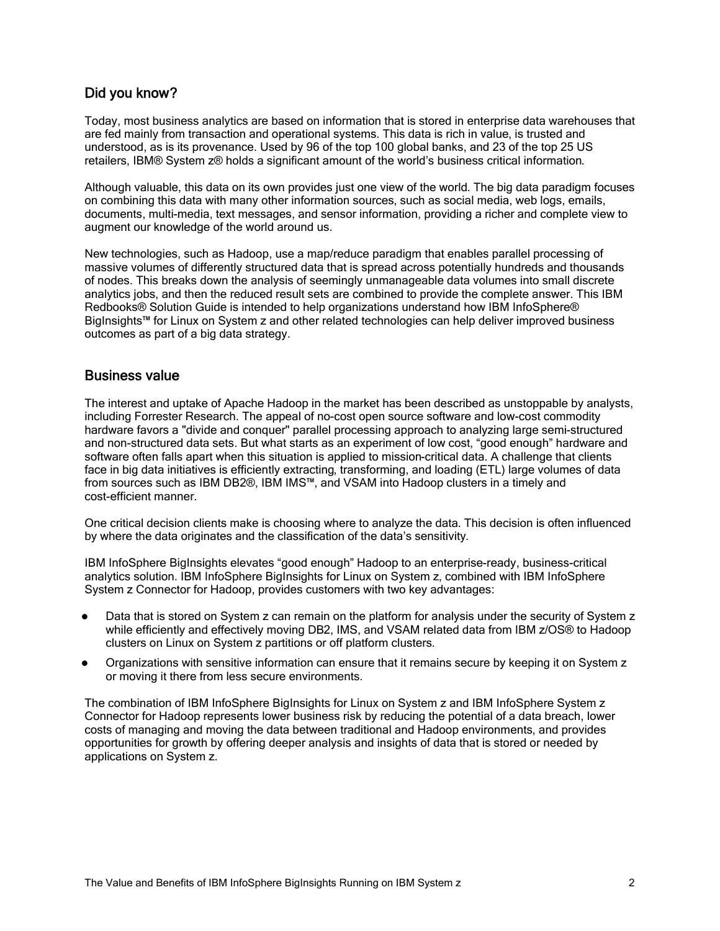# Did you know?

Today, most business analytics are based on information that is stored in enterprise data warehouses that are fed mainly from transaction and operational systems. This data is rich in value, is trusted and understood, as is its provenance. Used by 96 of the top 100 global banks, and 23 of the top 25 US retailers, IBM® System z® holds a significant amount of the world's business critical information.

Although valuable, this data on its own provides just one view of the world. The big data paradigm focuses on combining this data with many other information sources, such as social media, web logs, emails, documents, multi-media, text messages, and sensor information, providing a richer and complete view to augment our knowledge of the world around us.

New technologies, such as Hadoop, use a map/reduce paradigm that enables parallel processing of massive volumes of differently structured data that is spread across potentially hundreds and thousands of nodes. This breaks down the analysis of seemingly unmanageable data volumes into small discrete analytics jobs, and then the reduced result sets are combined to provide the complete answer. This IBM Redbooks® Solution Guide is intended to help organizations understand how IBM InfoSphere® BigInsights™ for Linux on System z and other related technologies can help deliver improved business outcomes as part of a big data strategy.

# Business value

The interest and uptake of Apache Hadoop in the market has been described as unstoppable by analysts, including Forrester Research. The appeal of no-cost open source software and low-cost commodity hardware favors a "divide and conquer" parallel processing approach to analyzing large semi-structured and non-structured data sets. But what starts as an experiment of low cost, "good enough" hardware and software often falls apart when this situation is applied to mission-critical data. A challenge that clients face in big data initiatives is efficiently extracting, transforming, and loading (ETL) large volumes of data from sources such as IBM DB2®, IBM IMS™, and VSAM into Hadoop clusters in a timely and cost-efficient manner.

One critical decision clients make is choosing where to analyze the data. This decision is often influenced by where the data originates and the classification of the data's sensitivity.

IBM InfoSphere BigInsights elevates "good enough" Hadoop to an enterprise-ready, business-critical analytics solution. IBM InfoSphere BigInsights for Linux on System z, combined with IBM InfoSphere System z Connector for Hadoop, provides customers with two key advantages:

- Data that is stored on System z can remain on the platform for analysis under the security of System z while efficiently and effectively moving DB2, IMS, and VSAM related data from IBM z/OS® to Hadoop clusters on Linux on System z partitions or off platform clusters.
- Organizations with sensitive information can ensure that it remains secure by keeping it on System z or moving it there from less secure environments.

The combination of IBM InfoSphere BigInsights for Linux on System z and IBM InfoSphere System z Connector for Hadoop represents lower business risk by reducing the potential of a data breach, lower costs of managing and moving the data between traditional and Hadoop environments, and provides opportunities for growth by offering deeper analysis and insights of data that is stored or needed by applications on System z.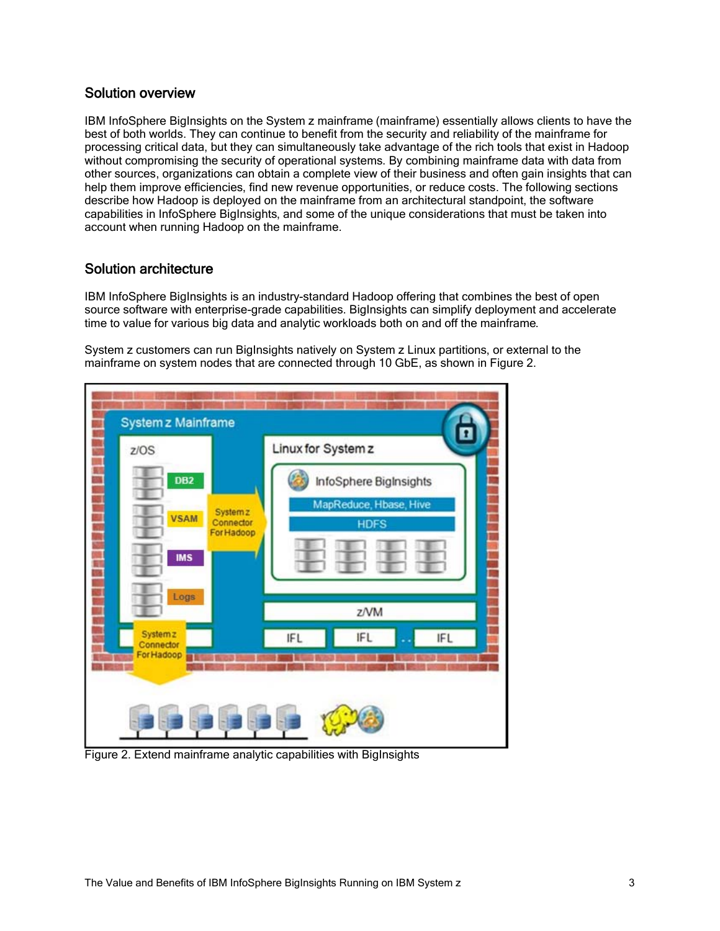# Solution overview

IBM InfoSphere BigInsights on the System z mainframe (mainframe) essentially allows clients to have the best of both worlds. They can continue to benefit from the security and reliability of the mainframe for processing critical data, but they can simultaneously take advantage of the rich tools that exist in Hadoop without compromising the security of operational systems. By combining mainframe data with data from other sources, organizations can obtain a complete view of their business and often gain insights that can help them improve efficiencies, find new revenue opportunities, or reduce costs. The following sections describe how Hadoop is deployed on the mainframe from an architectural standpoint, the software capabilities in InfoSphere BigInsights, and some of the unique considerations that must be taken into account when running Hadoop on the mainframe.

# Solution architecture

IBM InfoSphere BigInsights is an industry-standard Hadoop offering that combines the best of open source software with enterprise-grade capabilities. BigInsights can simplify deployment and accelerate time to value for various big data and analytic workloads both on and off the mainframe.

System z customers can run BigInsights natively on System z Linux partitions, or external to the mainframe on system nodes that are connected through 10 GbE, as shown in Figure 2.



Figure 2. Extend mainframe analytic capabilities with BigInsights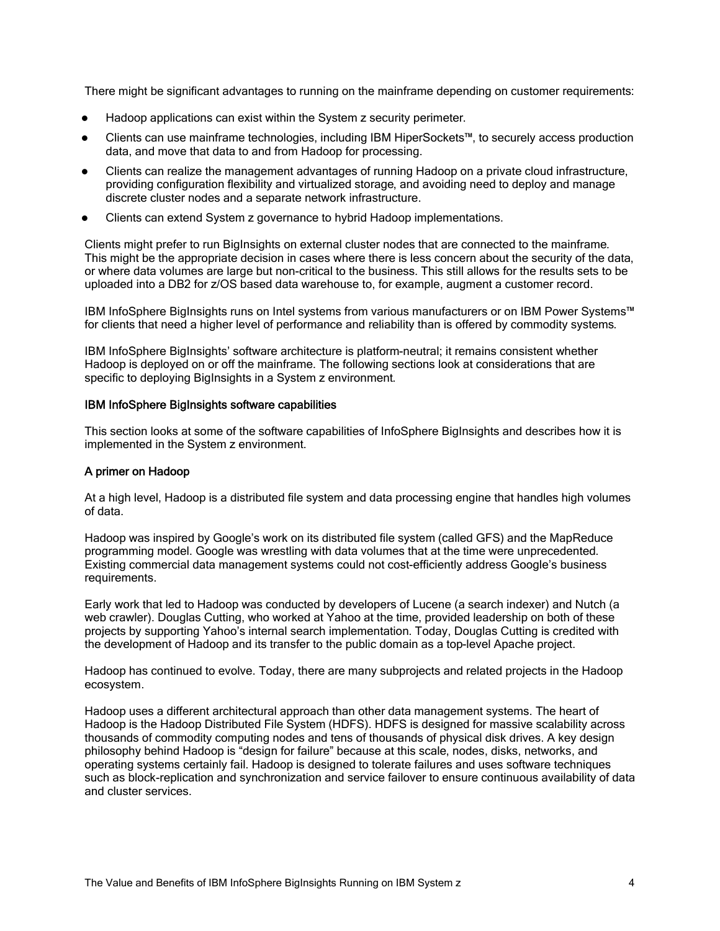There might be significant advantages to running on the mainframe depending on customer requirements:

- Hadoop applications can exist within the System z security perimeter.
- Clients can use mainframe technologies, including IBM HiperSockets™, to securely access production data, and move that data to and from Hadoop for processing.
- Clients can realize the management advantages of running Hadoop on a private cloud infrastructure, providing configuration flexibility and virtualized storage, and avoiding need to deploy and manage discrete cluster nodes and a separate network infrastructure.
- Clients can extend System z governance to hybrid Hadoop implementations.

Clients might prefer to run BigInsights on external cluster nodes that are connected to the mainframe. This might be the appropriate decision in cases where there is less concern about the security of the data, or where data volumes are large but non-critical to the business. This still allows for the results sets to be uploaded into a DB2 for z/OS based data warehouse to, for example, augment a customer record.

IBM InfoSphere BigInsights runs on Intel systems from various manufacturers or on IBM Power Systems™ for clients that need a higher level of performance and reliability than is offered by commodity systems.

IBM InfoSphere BigInsights' software architecture is platform-neutral; it remains consistent whether Hadoop is deployed on or off the mainframe. The following sections look at considerations that are specific to deploying BigInsights in a System z environment.

#### IBM InfoSphere BigInsights software capabilities

This section looks at some of the software capabilities of InfoSphere BigInsights and describes how it is implemented in the System z environment.

#### A primer on Hadoop

At a high level, Hadoop is a distributed file system and data processing engine that handles high volumes of data.

Hadoop was inspired by Google's work on its distributed file system (called GFS) and the MapReduce programming model. Google was wrestling with data volumes that at the time were unprecedented. Existing commercial data management systems could not cost-efficiently address Google's business requirements.

Early work that led to Hadoop was conducted by developers of Lucene (a search indexer) and Nutch (a web crawler). Douglas Cutting, who worked at Yahoo at the time, provided leadership on both of these projects by supporting Yahoo's internal search implementation. Today, Douglas Cutting is credited with the development of Hadoop and its transfer to the public domain as a top-level Apache project.

Hadoop has continued to evolve. Today, there are many subprojects and related projects in the Hadoop ecosystem.

Hadoop uses a different architectural approach than other data management systems. The heart of Hadoop is the Hadoop Distributed File System (HDFS). HDFS is designed for massive scalability across thousands of commodity computing nodes and tens of thousands of physical disk drives. A key design philosophy behind Hadoop is "design for failure" because at this scale, nodes, disks, networks, and operating systems certainly fail. Hadoop is designed to tolerate failures and uses software techniques such as block-replication and synchronization and service failover to ensure continuous availability of data and cluster services.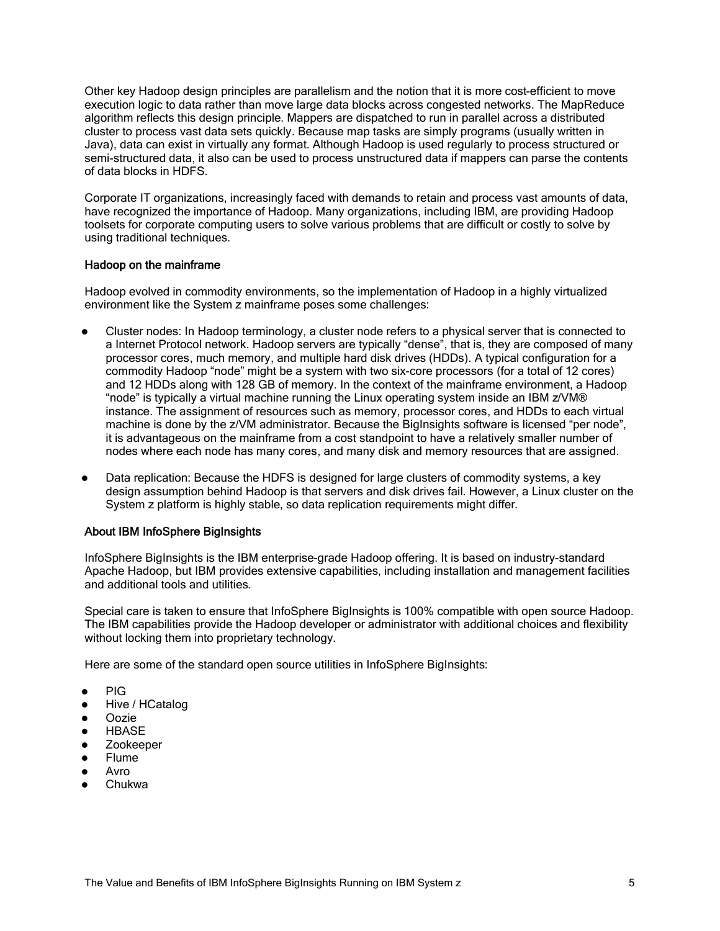Other key Hadoop design principles are parallelism and the notion that it is more cost-efficient to move execution logic to data rather than move large data blocks across congested networks. The MapReduce algorithm reflects this design principle. Mappers are dispatched to run in parallel across a distributed cluster to process vast data sets quickly. Because map tasks are simply programs (usually written in Java), data can exist in virtually any format. Although Hadoop is used regularly to process structured or semi-structured data, it also can be used to process unstructured data if mappers can parse the contents of data blocks in HDFS.

Corporate IT organizations, increasingly faced with demands to retain and process vast amounts of data, have recognized the importance of Hadoop. Many organizations, including IBM, are providing Hadoop toolsets for corporate computing users to solve various problems that are difficult or costly to solve by using traditional techniques.

#### Hadoop on the mainframe

Hadoop evolved in commodity environments, so the implementation of Hadoop in a highly virtualized environment like the System z mainframe poses some challenges:

- Cluster nodes: In Hadoop terminology, a cluster node refers to a physical server that is connected to a Internet Protocol network. Hadoop servers are typically "dense", that is, they are composed of many processor cores, much memory, and multiple hard disk drives (HDDs). A typical configuration for a commodity Hadoop "node" might be a system with two six-core processors (for a total of 12 cores) and 12 HDDs along with 128 GB of memory. In the context of the mainframe environment, a Hadoop "node" is typically a virtual machine running the Linux operating system inside an IBM z/VM® instance. The assignment of resources such as memory, processor cores, and HDDs to each virtual machine is done by the z/VM administrator. Because the BigInsights software is licensed "per node", it is advantageous on the mainframe from a cost standpoint to have a relatively smaller number of nodes where each node has many cores, and many disk and memory resources that are assigned.
- Data replication: Because the HDFS is designed for large clusters of commodity systems, a key design assumption behind Hadoop is that servers and disk drives fail. However, a Linux cluster on the System z platform is highly stable, so data replication requirements might differ.

#### About IBM InfoSphere BigInsights

InfoSphere BigInsights is the IBM enterprise-grade Hadoop offering. It is based on industry-standard Apache Hadoop, but IBM provides extensive capabilities, including installation and management facilities and additional tools and utilities.

Special care is taken to ensure that InfoSphere BigInsights is 100% compatible with open source Hadoop. The IBM capabilities provide the Hadoop developer or administrator with additional choices and flexibility without locking them into proprietary technology.

Here are some of the standard open source utilities in InfoSphere BigInsights:

- PIG
- Hive / HCatalog
- Oozie
- **HBASE**
- Zookeeper
- Flume
- Avro
- Chukwa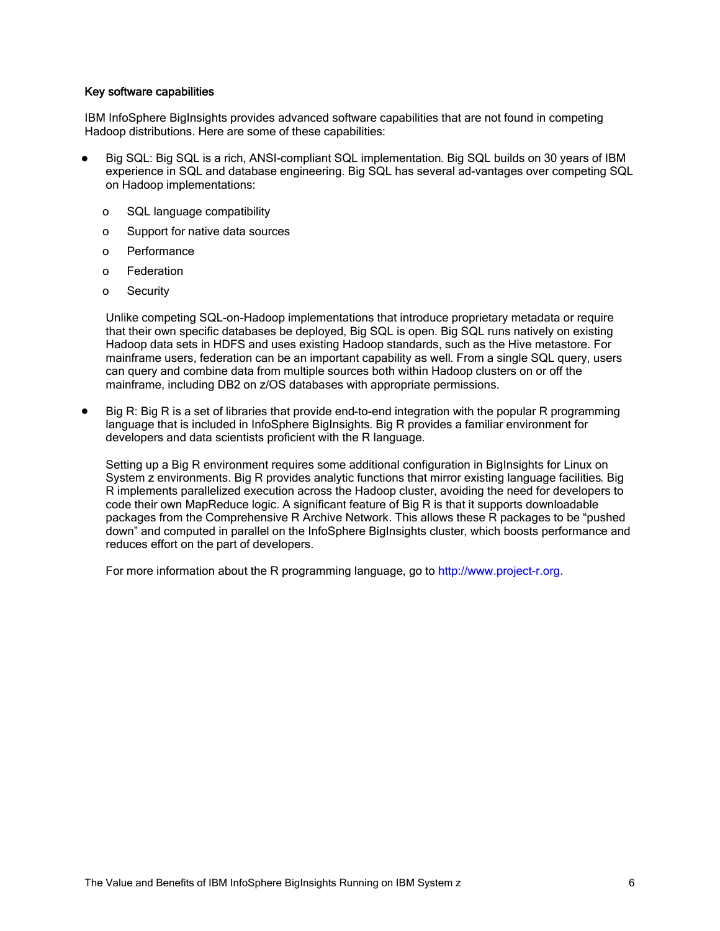#### Key software capabilities

IBM InfoSphere BigInsights provides advanced software capabilities that are not found in competing Hadoop distributions. Here are some of these capabilities:

- Big SQL: Big SQL is a rich, ANSI-compliant SQL implementation. Big SQL builds on 30 years of IBM experience in SQL and database engineering. Big SQL has several ad-vantages over competing SQL on Hadoop implementations:
	- o SQL language compatibility
	- o Support for native data sources
	- o Performance
	- o Federation
	- o Security

Unlike competing SQL-on-Hadoop implementations that introduce proprietary metadata or require that their own specific databases be deployed, Big SQL is open. Big SQL runs natively on existing Hadoop data sets in HDFS and uses existing Hadoop standards, such as the Hive metastore. For mainframe users, federation can be an important capability as well. From a single SQL query, users can query and combine data from multiple sources both within Hadoop clusters on or off the mainframe, including DB2 on z/OS databases with appropriate permissions.

Big R: Big R is a set of libraries that provide end-to-end integration with the popular R programming language that is included in InfoSphere BigInsights. Big R provides a familiar environment for developers and data scientists proficient with the R language.

Setting up a Big R environment requires some additional configuration in BigInsights for Linux on System z environments. Big R provides analytic functions that mirror existing language facilities. Big R implements parallelized execution across the Hadoop cluster, avoiding the need for developers to code their own MapReduce logic. A significant feature of Big R is that it supports downloadable packages from the Comprehensive R Archive Network. This allows these R packages to be "pushed down" and computed in parallel on the InfoSphere BigInsights cluster, which boosts performance and reduces effort on the part of developers.

For more information about the R programming language, go to http://www.project-r.org.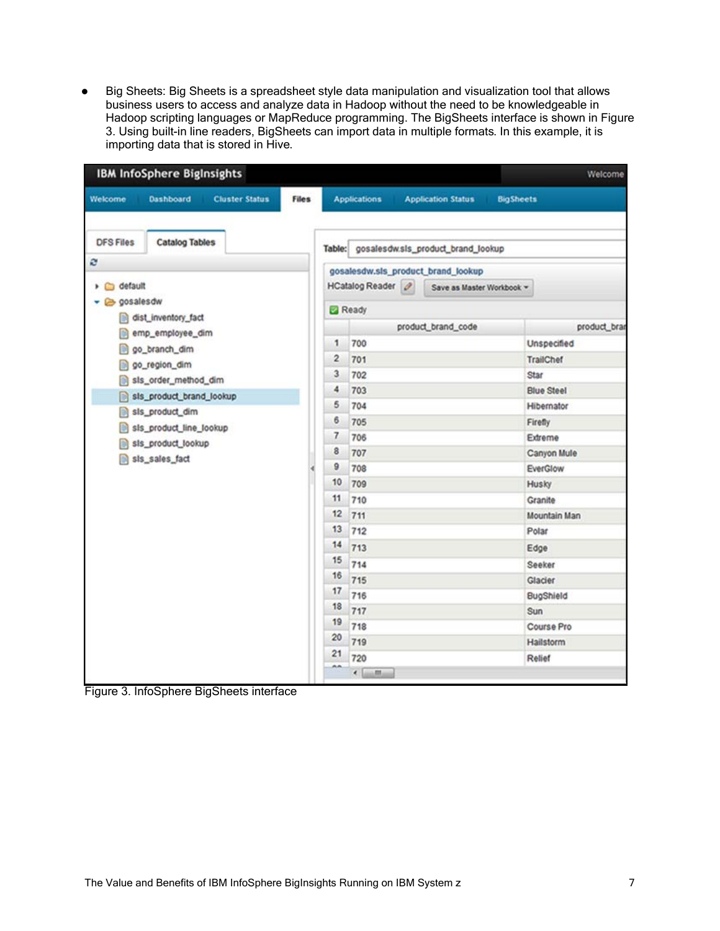Big Sheets: Big Sheets is a spreadsheet style data manipulation and visualization tool that allows business users to access and analyze data in Hadoop without the need to be knowledgeable in Hadoop scripting languages or MapReduce programming. The BigSheets interface is shown in Figure 3. Using built-in line readers, BigSheets can import data in multiple formats. In this example, it is importing data that is stored in Hive.

| <b>IBM InfoSphere BigInsights</b>                                                                                                                                        |                                      |                                       |    |                                                                                      |                       |                    |                   | Welcome      |  |
|--------------------------------------------------------------------------------------------------------------------------------------------------------------------------|--------------------------------------|---------------------------------------|----|--------------------------------------------------------------------------------------|-----------------------|--------------------|-------------------|--------------|--|
| Welcome                                                                                                                                                                  | Dashboard                            | <b>Cluster Status</b><br><b>Files</b> |    | <b>Applications</b><br><b>Application Status</b>                                     |                       |                    | <b>BigSheets</b>  |              |  |
| <b>DFS Files</b>                                                                                                                                                         | <b>Catalog Tables</b>                |                                       |    | Table: gosalesdw.sls_product_brand_lookup                                            |                       |                    |                   |              |  |
| ø                                                                                                                                                                        |                                      |                                       |    |                                                                                      |                       |                    |                   |              |  |
| default                                                                                                                                                                  |                                      |                                       |    | gosalesdw.sls_product_brand_lookup<br>HCatalog Reader 2<br>Save as Master Workbook = |                       |                    |                   |              |  |
| $\Box$<br>۰.<br>gosalesdw                                                                                                                                                |                                      |                                       |    |                                                                                      |                       |                    |                   |              |  |
| m                                                                                                                                                                        | dist_inventory_fact                  |                                       |    | Ready                                                                                |                       |                    |                   |              |  |
| emp_employee_dim<br>m<br>go branch dim<br>go_region_dim<br>m<br>sls_order_method_dim<br>sis_product_brand_lookup<br>B<br>sis_product_dim<br>sis_product_line_lookup<br>e |                                      |                                       |    |                                                                                      |                       | product_brand_code |                   | product_brar |  |
|                                                                                                                                                                          |                                      |                                       |    | 1                                                                                    | 700                   |                    | Unspecified       |              |  |
|                                                                                                                                                                          |                                      |                                       |    | $\overline{c}$                                                                       | 701                   |                    |                   | TrailChef    |  |
|                                                                                                                                                                          |                                      |                                       |    | 3                                                                                    | 702                   |                    | Star              |              |  |
|                                                                                                                                                                          |                                      |                                       |    | 4                                                                                    | 703                   |                    | <b>Blue Steel</b> |              |  |
|                                                                                                                                                                          |                                      |                                       |    | 5                                                                                    | 704                   |                    |                   | Hibernator   |  |
|                                                                                                                                                                          |                                      |                                       |    | 6.                                                                                   | 705                   |                    | Firefly           |              |  |
|                                                                                                                                                                          | sis_product_lookup<br>sis_sales_fact |                                       |    | 7                                                                                    | 706                   |                    | Extreme           |              |  |
|                                                                                                                                                                          |                                      |                                       |    | 8                                                                                    | 707                   |                    | Canyon Mule       |              |  |
|                                                                                                                                                                          |                                      |                                       |    | 9                                                                                    | 708                   |                    | EverGlow          |              |  |
|                                                                                                                                                                          |                                      |                                       |    | 10                                                                                   | 709                   |                    | Husky             |              |  |
|                                                                                                                                                                          |                                      |                                       |    | 11                                                                                   | 710                   |                    | Granite           |              |  |
|                                                                                                                                                                          |                                      |                                       |    | 12                                                                                   | 711                   |                    | Mountain Man      |              |  |
|                                                                                                                                                                          |                                      |                                       |    | 13                                                                                   | 712                   |                    | Polar             |              |  |
|                                                                                                                                                                          |                                      |                                       | 14 | 713                                                                                  |                       | Edge               |                   |              |  |
|                                                                                                                                                                          |                                      |                                       | 15 | 714                                                                                  |                       | Seeker             |                   |              |  |
|                                                                                                                                                                          |                                      |                                       |    | 16                                                                                   | 715                   |                    | Glacier           |              |  |
|                                                                                                                                                                          |                                      |                                       |    | 17                                                                                   | 716                   |                    | BugShield         |              |  |
|                                                                                                                                                                          |                                      |                                       | 18 | 717                                                                                  |                       | Sun                |                   |              |  |
|                                                                                                                                                                          |                                      |                                       |    | 19                                                                                   | 718                   |                    | Course Pro        |              |  |
|                                                                                                                                                                          |                                      |                                       |    | 20                                                                                   | 719                   |                    | Hailstorm         |              |  |
|                                                                                                                                                                          |                                      |                                       |    | 21                                                                                   | 720                   |                    | Relief            |              |  |
|                                                                                                                                                                          |                                      |                                       |    | m.m                                                                                  | $\epsilon$ [mm] $m$ ] |                    |                   |              |  |

Figure 3. InfoSphere BigSheets interface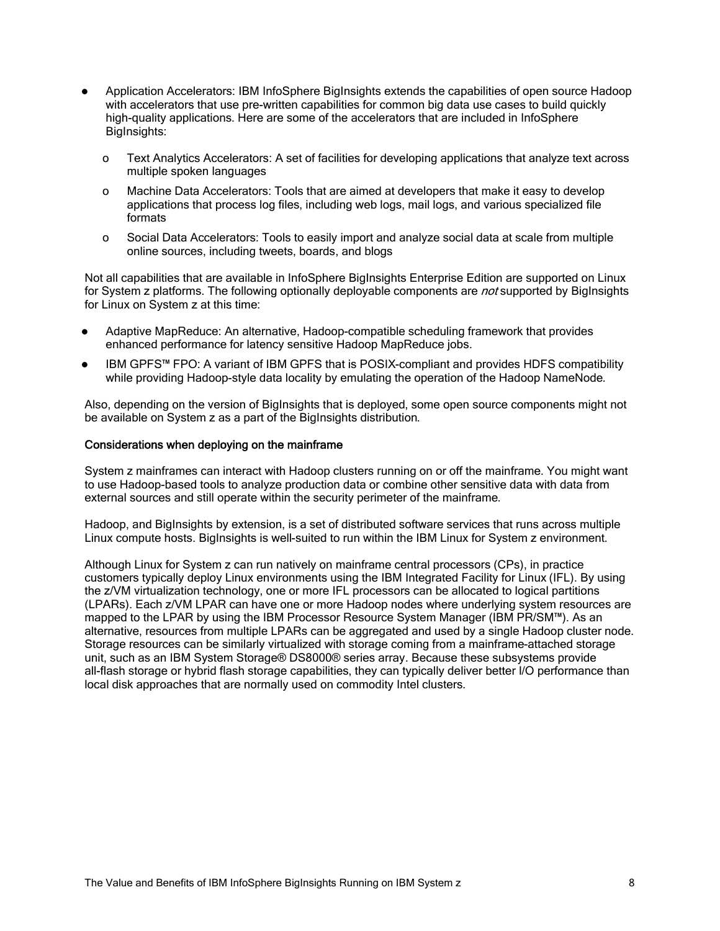- Application Accelerators: IBM InfoSphere BigInsights extends the capabilities of open source Hadoop with accelerators that use pre-written capabilities for common big data use cases to build quickly high-quality applications. Here are some of the accelerators that are included in InfoSphere BigInsights:
	- o Text Analytics Accelerators: A set of facilities for developing applications that analyze text across multiple spoken languages
	- o Machine Data Accelerators: Tools that are aimed at developers that make it easy to develop applications that process log files, including web logs, mail logs, and various specialized file formats
	- o Social Data Accelerators: Tools to easily import and analyze social data at scale from multiple online sources, including tweets, boards, and blogs

Not all capabilities that are available in InfoSphere BigInsights Enterprise Edition are supported on Linux for System z platforms. The following optionally deployable components are *not* supported by BigInsights for Linux on System z at this time:

- Adaptive MapReduce: An alternative, Hadoop-compatible scheduling framework that provides enhanced performance for latency sensitive Hadoop MapReduce jobs.
- IBM GPFS™ FPO: A variant of IBM GPFS that is POSIX-compliant and provides HDFS compatibility while providing Hadoop-style data locality by emulating the operation of the Hadoop NameNode.

Also, depending on the version of BigInsights that is deployed, some open source components might not be available on System z as a part of the BigInsights distribution.

#### Considerations when deploying on the mainframe

System z mainframes can interact with Hadoop clusters running on or off the mainframe. You might want to use Hadoop-based tools to analyze production data or combine other sensitive data with data from external sources and still operate within the security perimeter of the mainframe.

Hadoop, and BigInsights by extension, is a set of distributed software services that runs across multiple Linux compute hosts. BigInsights is well-suited to run within the IBM Linux for System z environment.

Although Linux for System z can run natively on mainframe central processors (CPs), in practice customers typically deploy Linux environments using the IBM Integrated Facility for Linux (IFL). By using the z/VM virtualization technology, one or more IFL processors can be allocated to logical partitions (LPARs). Each z/VM LPAR can have one or more Hadoop nodes where underlying system resources are mapped to the LPAR by using the IBM Processor Resource System Manager (IBM PR/SM™). As an alternative, resources from multiple LPARs can be aggregated and used by a single Hadoop cluster node. Storage resources can be similarly virtualized with storage coming from a mainframe-attached storage unit, such as an IBM System Storage® DS8000® series array. Because these subsystems provide all-flash storage or hybrid flash storage capabilities, they can typically deliver better I/O performance than local disk approaches that are normally used on commodity Intel clusters.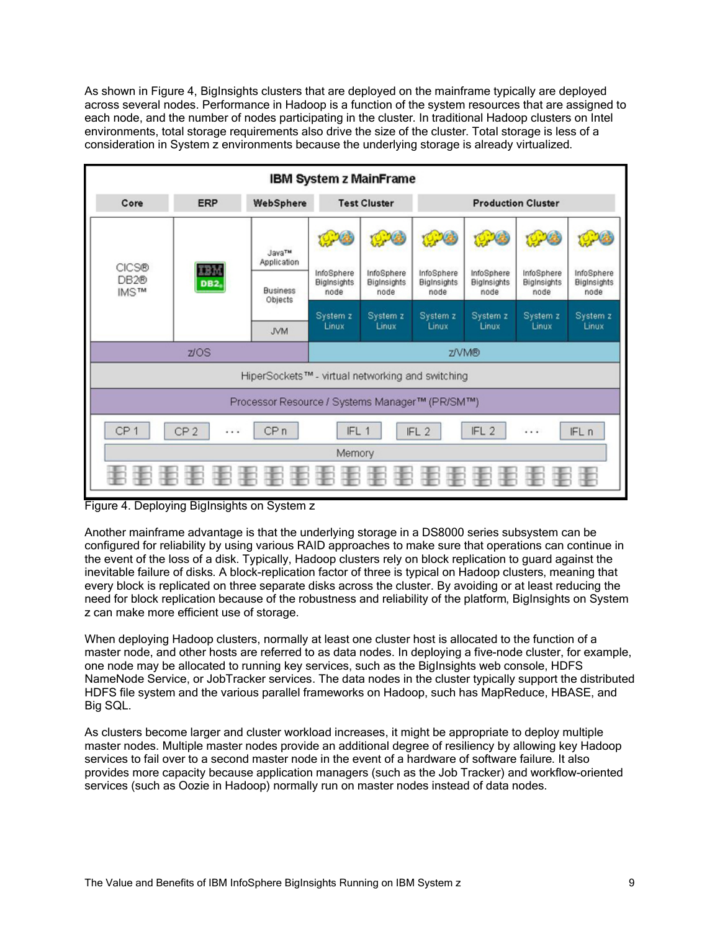As shown in Figure 4, BigInsights clusters that are deployed on the mainframe typically are deployed across several nodes. Performance in Hadoop is a function of the system resources that are assigned to each node, and the number of nodes participating in the cluster. In traditional Hadoop clusters on Intel environments, total storage requirements also drive the size of the cluster. Total storage is less of a consideration in System z environments because the underlying storage is already virtualized.



Figure 4. Deploying BigInsights on System z

Another mainframe advantage is that the underlying storage in a DS8000 series subsystem can be configured for reliability by using various RAID approaches to make sure that operations can continue in the event of the loss of a disk. Typically, Hadoop clusters rely on block replication to guard against the inevitable failure of disks. A block-replication factor of three is typical on Hadoop clusters, meaning that every block is replicated on three separate disks across the cluster. By avoiding or at least reducing the need for block replication because of the robustness and reliability of the platform, BigInsights on System z can make more efficient use of storage.

When deploying Hadoop clusters, normally at least one cluster host is allocated to the function of a master node, and other hosts are referred to as data nodes. In deploying a five-node cluster, for example, one node may be allocated to running key services, such as the BigInsights web console, HDFS NameNode Service, or JobTracker services. The data nodes in the cluster typically support the distributed HDFS file system and the various parallel frameworks on Hadoop, such has MapReduce, HBASE, and Big SQL.

As clusters become larger and cluster workload increases, it might be appropriate to deploy multiple master nodes. Multiple master nodes provide an additional degree of resiliency by allowing key Hadoop services to fail over to a second master node in the event of a hardware of software failure. It also provides more capacity because application managers (such as the Job Tracker) and workflow-oriented services (such as Oozie in Hadoop) normally run on master nodes instead of data nodes.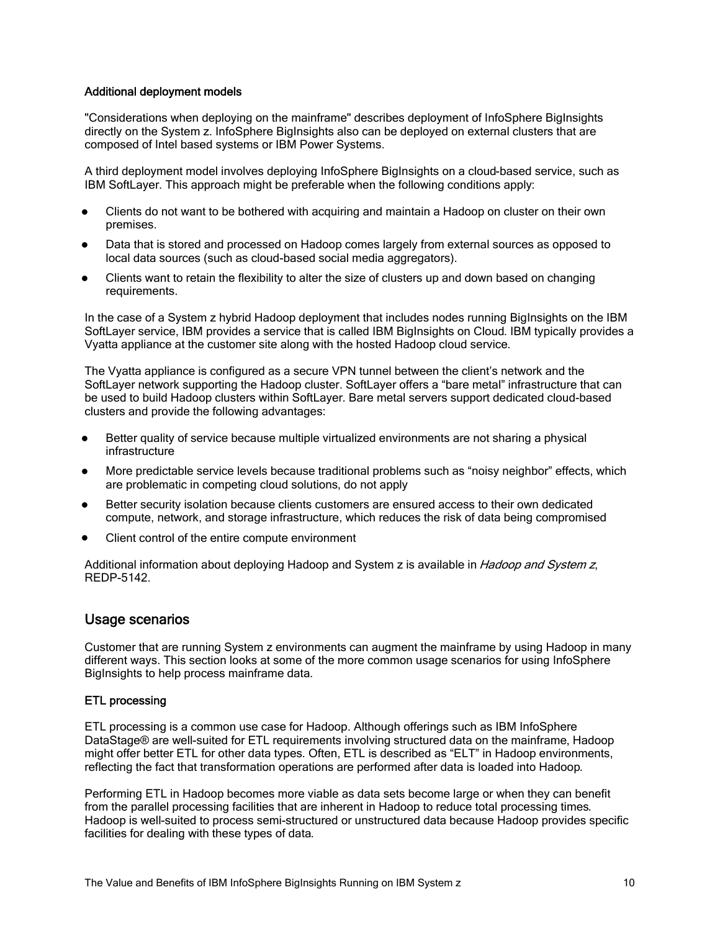#### Additional deployment models

"Considerations when deploying on the mainframe" describes deployment of InfoSphere BigInsights directly on the System z. InfoSphere BigInsights also can be deployed on external clusters that are composed of Intel based systems or IBM Power Systems.

A third deployment model involves deploying InfoSphere BigInsights on a cloud-based service, such as IBM SoftLayer. This approach might be preferable when the following conditions apply:

- Clients do not want to be bothered with acquiring and maintain a Hadoop on cluster on their own premises.
- Data that is stored and processed on Hadoop comes largely from external sources as opposed to local data sources (such as cloud-based social media aggregators).
- Clients want to retain the flexibility to alter the size of clusters up and down based on changing requirements.

In the case of a System z hybrid Hadoop deployment that includes nodes running BigInsights on the IBM SoftLayer service, IBM provides a service that is called IBM BigInsights on Cloud. IBM typically provides a Vyatta appliance at the customer site along with the hosted Hadoop cloud service.

The Vyatta appliance is configured as a secure VPN tunnel between the client's network and the SoftLayer network supporting the Hadoop cluster. SoftLayer offers a "bare metal" infrastructure that can be used to build Hadoop clusters within SoftLayer. Bare metal servers support dedicated cloud-based clusters and provide the following advantages:

- Better quality of service because multiple virtualized environments are not sharing a physical infrastructure
- More predictable service levels because traditional problems such as "noisy neighbor" effects, which are problematic in competing cloud solutions, do not apply
- Better security isolation because clients customers are ensured access to their own dedicated compute, network, and storage infrastructure, which reduces the risk of data being compromised
- Client control of the entire compute environment

Additional information about deploying Hadoop and System z is available in Hadoop and System z, REDP-5142.

### Usage scenarios

Customer that are running System z environments can augment the mainframe by using Hadoop in many different ways. This section looks at some of the more common usage scenarios for using InfoSphere BigInsights to help process mainframe data.

#### ETL processing

ETL processing is a common use case for Hadoop. Although offerings such as IBM InfoSphere DataStage® are well-suited for ETL requirements involving structured data on the mainframe, Hadoop might offer better ETL for other data types. Often, ETL is described as "ELT" in Hadoop environments, reflecting the fact that transformation operations are performed after data is loaded into Hadoop.

Performing ETL in Hadoop becomes more viable as data sets become large or when they can benefit from the parallel processing facilities that are inherent in Hadoop to reduce total processing times. Hadoop is well-suited to process semi-structured or unstructured data because Hadoop provides specific facilities for dealing with these types of data.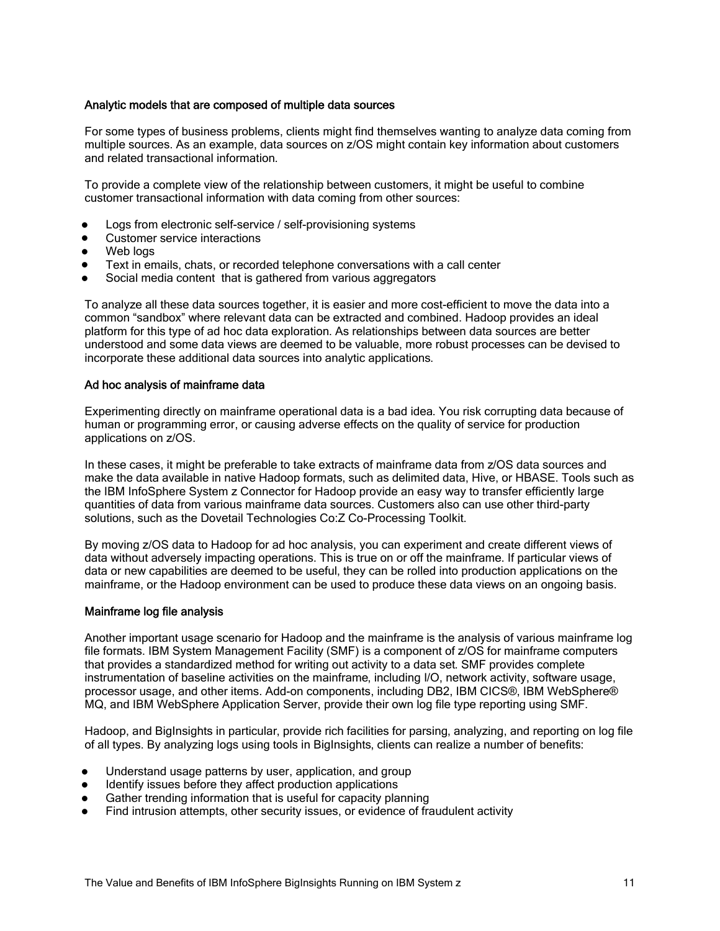#### Analytic models that are composed of multiple data sources

For some types of business problems, clients might find themselves wanting to analyze data coming from multiple sources. As an example, data sources on z/OS might contain key information about customers and related transactional information.

To provide a complete view of the relationship between customers, it might be useful to combine customer transactional information with data coming from other sources:

- Logs from electronic self-service / self-provisioning systems
- Customer service interactions
- Web loas
- Text in emails, chats, or recorded telephone conversations with a call center
- Social media content that is gathered from various aggregators

To analyze all these data sources together, it is easier and more cost-efficient to move the data into a common "sandbox" where relevant data can be extracted and combined. Hadoop provides an ideal platform for this type of ad hoc data exploration. As relationships between data sources are better understood and some data views are deemed to be valuable, more robust processes can be devised to incorporate these additional data sources into analytic applications.

#### Ad hoc analysis of mainframe data

Experimenting directly on mainframe operational data is a bad idea. You risk corrupting data because of human or programming error, or causing adverse effects on the quality of service for production applications on z/OS.

In these cases, it might be preferable to take extracts of mainframe data from z/OS data sources and make the data available in native Hadoop formats, such as delimited data, Hive, or HBASE. Tools such as the IBM InfoSphere System z Connector for Hadoop provide an easy way to transfer efficiently large quantities of data from various mainframe data sources. Customers also can use other third-party solutions, such as the Dovetail Technologies Co:Z Co-Processing Toolkit.

By moving z/OS data to Hadoop for ad hoc analysis, you can experiment and create different views of data without adversely impacting operations. This is true on or off the mainframe. If particular views of data or new capabilities are deemed to be useful, they can be rolled into production applications on the mainframe, or the Hadoop environment can be used to produce these data views on an ongoing basis.

#### Mainframe log file analysis

Another important usage scenario for Hadoop and the mainframe is the analysis of various mainframe log file formats. IBM System Management Facility (SMF) is a component of z/OS for mainframe computers that provides a standardized method for writing out activity to a data set. SMF provides complete instrumentation of baseline activities on the mainframe, including I/O, network activity, software usage, processor usage, and other items. Add-on components, including DB2, IBM CICS®, IBM WebSphere® MQ, and IBM WebSphere Application Server, provide their own log file type reporting using SMF.

Hadoop, and BigInsights in particular, provide rich facilities for parsing, analyzing, and reporting on log file of all types. By analyzing logs using tools in BigInsights, clients can realize a number of benefits:

- Understand usage patterns by user, application, and group
- Identify issues before they affect production applications
- Gather trending information that is useful for capacity planning
- Find intrusion attempts, other security issues, or evidence of fraudulent activity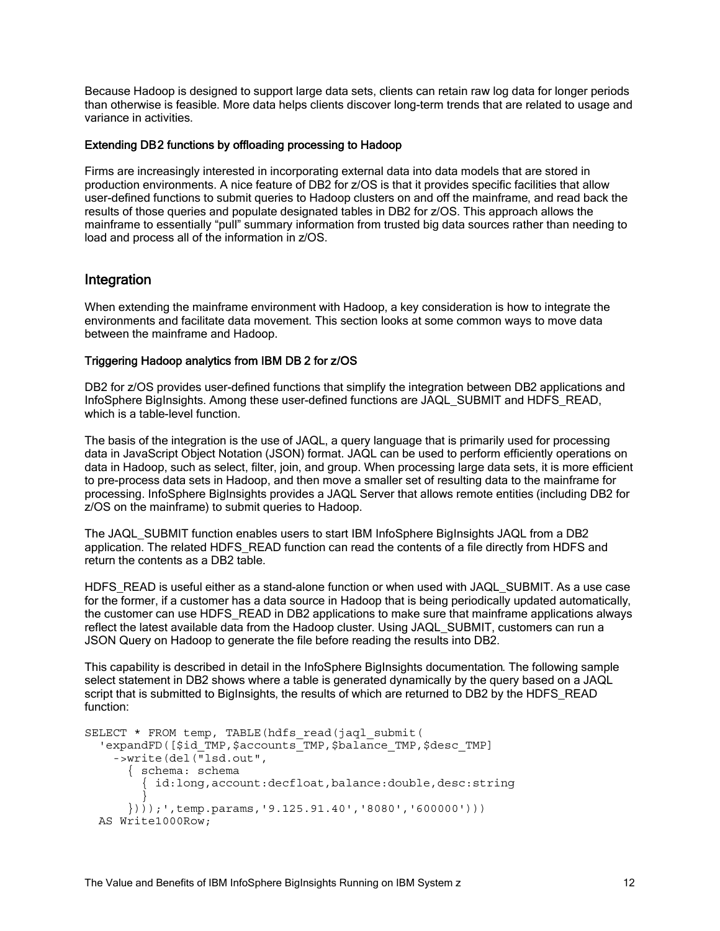Because Hadoop is designed to support large data sets, clients can retain raw log data for longer periods than otherwise is feasible. More data helps clients discover long-term trends that are related to usage and variance in activities.

#### Extending DB2 functions by offloading processing to Hadoop

Firms are increasingly interested in incorporating external data into data models that are stored in production environments. A nice feature of DB2 for z/OS is that it provides specific facilities that allow user-defined functions to submit queries to Hadoop clusters on and off the mainframe, and read back the results of those queries and populate designated tables in DB2 for z/OS. This approach allows the mainframe to essentially "pull" summary information from trusted big data sources rather than needing to load and process all of the information in z/OS.

# Integration

When extending the mainframe environment with Hadoop, a key consideration is how to integrate the environments and facilitate data movement. This section looks at some common ways to move data between the mainframe and Hadoop.

#### Triggering Hadoop analytics from IBM DB 2 for z/OS

DB2 for z/OS provides user-defined functions that simplify the integration between DB2 applications and InfoSphere BigInsights. Among these user-defined functions are JAQL\_SUBMIT and HDFS\_READ, which is a table-level function.

The basis of the integration is the use of JAQL, a query language that is primarily used for processing data in JavaScript Object Notation (JSON) format. JAQL can be used to perform efficiently operations on data in Hadoop, such as select, filter, join, and group. When processing large data sets, it is more efficient to pre-process data sets in Hadoop, and then move a smaller set of resulting data to the mainframe for processing. InfoSphere BigInsights provides a JAQL Server that allows remote entities (including DB2 for z/OS on the mainframe) to submit queries to Hadoop.

The JAQL\_SUBMIT function enables users to start IBM InfoSphere BigInsights JAQL from a DB2 application. The related HDFS\_READ function can read the contents of a file directly from HDFS and return the contents as a DB2 table.

HDFS READ is useful either as a stand-alone function or when used with JAQL SUBMIT. As a use case for the former, if a customer has a data source in Hadoop that is being periodically updated automatically, the customer can use HDFS\_READ in DB2 applications to make sure that mainframe applications always reflect the latest available data from the Hadoop cluster. Using JAQL\_SUBMIT, customers can run a JSON Query on Hadoop to generate the file before reading the results into DB2.

This capability is described in detail in the InfoSphere BigInsights documentation. The following sample select statement in DB2 shows where a table is generated dynamically by the query based on a JAQL script that is submitted to BigInsights, the results of which are returned to DB2 by the HDFS\_READ function:

```
SELECT * FROM temp, TABLE(hdfs read(jagl_submit(
 'expandFD([$id_TMP,$accounts_TMP,$balance_TMP,$desc_TMP]
   ->write(del("lsd.out",
      { schema: schema
        { id:long,account:decfloat,balance:double,desc:string
}
     \{)));',temp.params,'9.125.91.40','8080','600000')))
  AS Write1000Row;
```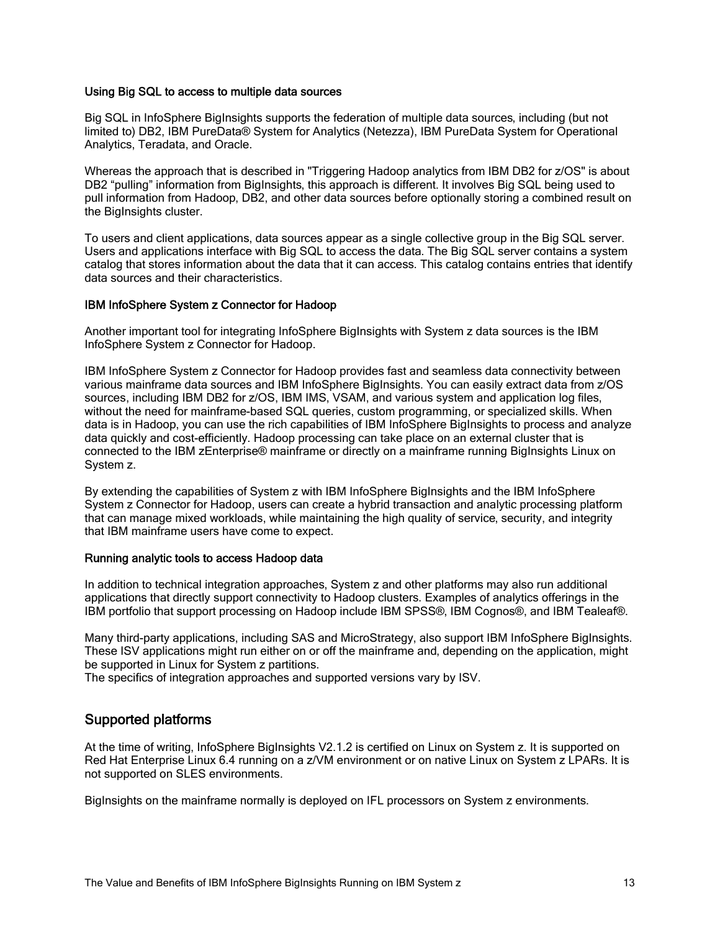#### Using Big SQL to access to multiple data sources

Big SQL in InfoSphere BigInsights supports the federation of multiple data sources, including (but not limited to) DB2, IBM PureData® System for Analytics (Netezza), IBM PureData System for Operational Analytics, Teradata, and Oracle.

Whereas the approach that is described in "Triggering Hadoop analytics from IBM DB2 for z/OS" is about DB2 "pulling" information from BigInsights, this approach is different. It involves Big SQL being used to pull information from Hadoop, DB2, and other data sources before optionally storing a combined result on the BigInsights cluster.

To users and client applications, data sources appear as a single collective group in the Big SQL server. Users and applications interface with Big SQL to access the data. The Big SQL server contains a system catalog that stores information about the data that it can access. This catalog contains entries that identify data sources and their characteristics.

#### IBM InfoSphere System z Connector for Hadoop

Another important tool for integrating InfoSphere BigInsights with System z data sources is the IBM InfoSphere System z Connector for Hadoop.

IBM InfoSphere System z Connector for Hadoop provides fast and seamless data connectivity between various mainframe data sources and IBM InfoSphere BigInsights. You can easily extract data from z/OS sources, including IBM DB2 for z/OS, IBM IMS, VSAM, and various system and application log files, without the need for mainframe-based SQL queries, custom programming, or specialized skills. When data is in Hadoop, you can use the rich capabilities of IBM InfoSphere BigInsights to process and analyze data quickly and cost-efficiently. Hadoop processing can take place on an external cluster that is connected to the IBM zEnterprise® mainframe or directly on a mainframe running BigInsights Linux on System z.

By extending the capabilities of System z with IBM InfoSphere BigInsights and the IBM InfoSphere System z Connector for Hadoop, users can create a hybrid transaction and analytic processing platform that can manage mixed workloads, while maintaining the high quality of service, security, and integrity that IBM mainframe users have come to expect.

#### Running analytic tools to access Hadoop data

In addition to technical integration approaches, System z and other platforms may also run additional applications that directly support connectivity to Hadoop clusters. Examples of analytics offerings in the IBM portfolio that support processing on Hadoop include IBM SPSS®, IBM Cognos®, and IBM Tealeaf®.

Many third-party applications, including SAS and MicroStrategy, also support IBM InfoSphere BigInsights. These ISV applications might run either on or off the mainframe and, depending on the application, might be supported in Linux for System z partitions.

The specifics of integration approaches and supported versions vary by ISV.

# Supported platforms

At the time of writing, InfoSphere BigInsights V2.1.2 is certified on Linux on System z. It is supported on Red Hat Enterprise Linux 6.4 running on a z/VM environment or on native Linux on System z LPARs. It is not supported on SLES environments.

BigInsights on the mainframe normally is deployed on IFL processors on System z environments.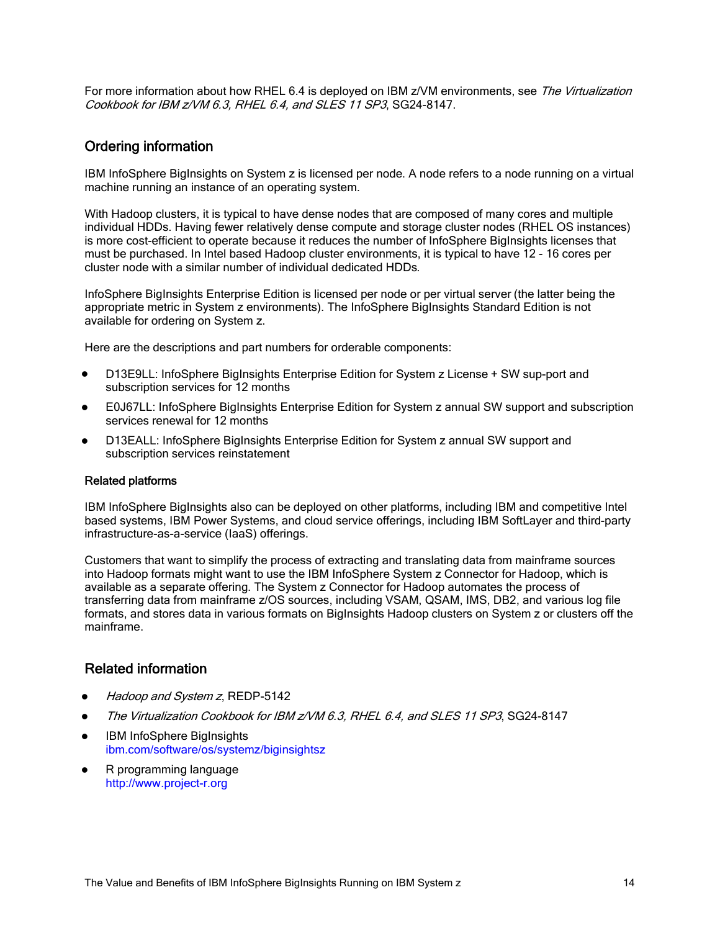For more information about how RHEL 6.4 is deployed on IBM z/VM environments, see The Virtualization Cookbook for IBM z/VM 6.3, RHEL 6.4, and SLES 11 SP3, SG24-8147.

# Ordering information

IBM InfoSphere BigInsights on System z is licensed per node. A node refers to a node running on a virtual machine running an instance of an operating system.

With Hadoop clusters, it is typical to have dense nodes that are composed of many cores and multiple individual HDDs. Having fewer relatively dense compute and storage cluster nodes (RHEL OS instances) is more cost-efficient to operate because it reduces the number of InfoSphere BigInsights licenses that must be purchased. In Intel based Hadoop cluster environments, it is typical to have 12 - 16 cores per cluster node with a similar number of individual dedicated HDDs.

InfoSphere BigInsights Enterprise Edition is licensed per node or per virtual server (the latter being the appropriate metric in System z environments). The InfoSphere BigInsights Standard Edition is not available for ordering on System z.

Here are the descriptions and part numbers for orderable components:

- D13E9LL: InfoSphere BigInsights Enterprise Edition for System z License + SW sup-port and subscription services for 12 months
- E0J67LL: InfoSphere BigInsights Enterprise Edition for System z annual SW support and subscription services renewal for 12 months
- D13EALL: InfoSphere BigInsights Enterprise Edition for System z annual SW support and subscription services reinstatement

#### Related platforms

IBM InfoSphere BigInsights also can be deployed on other platforms, including IBM and competitive Intel based systems, IBM Power Systems, and cloud service offerings, including IBM SoftLayer and third-party infrastructure-as-a-service (IaaS) offerings.

Customers that want to simplify the process of extracting and translating data from mainframe sources into Hadoop formats might want to use the IBM InfoSphere System z Connector for Hadoop, which is available as a separate offering. The System z Connector for Hadoop automates the process of transferring data from mainframe z/OS sources, including VSAM, QSAM, IMS, DB2, and various log file formats, and stores data in various formats on BigInsights Hadoop clusters on System z or clusters off the mainframe.

# Related information

- Hadoop and System z, REDP-5142
- The Virtualization Cookbook for IBM z/VM 6.3, RHEL 6.4, and SLES 11 SP3, SG24-8147
- IBM InfoSphere BigInsights ibm.com/software/os/systemz/biginsightsz
- R programming language http://www.project-r.org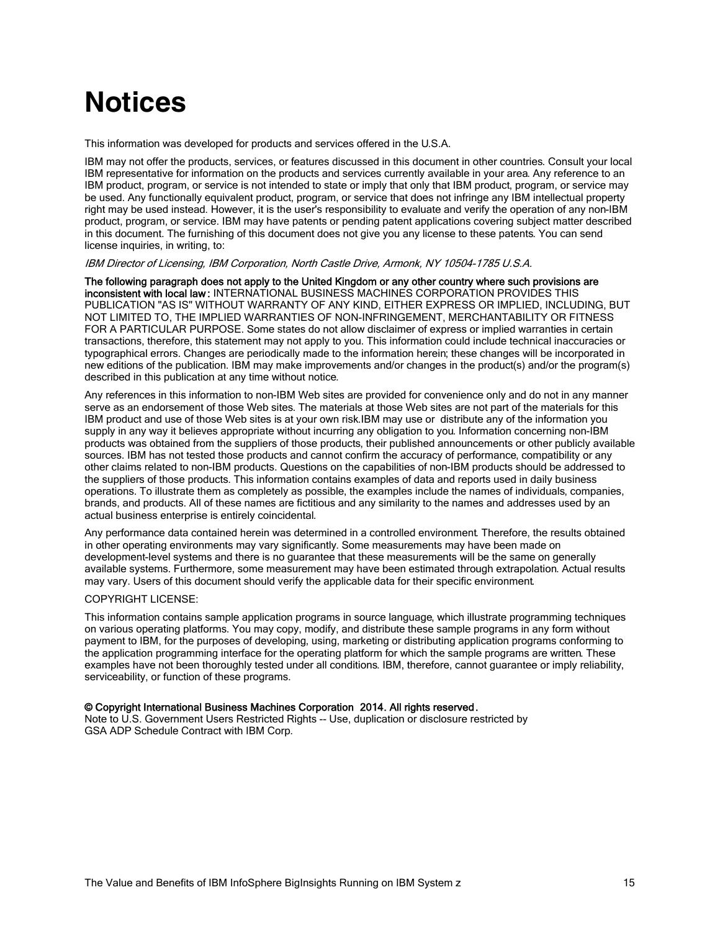# **Notices**

This information was developed for products and services offered in the U.S.A.

IBM may not offer the products, services, or features discussed in this document in other countries. Consult your local IBM representative for information on the products and services currently available in your area. Any reference to an IBM product, program, or service is not intended to state or imply that only that IBM product, program, or service may be used. Any functionally equivalent product, program, or service that does not infringe any IBM intellectual property right may be used instead. However, it is the user's responsibility to evaluate and verify the operation of any non-IBM product, program, or service. IBM may have patents or pending patent applications covering subject matter described in this document. The furnishing of this document does not give you any license to these patents. You can send license inquiries, in writing, to:

IBM Director of Licensing, IBM Corporation, North Castle Drive, Armonk, NY 10504-1785 U.S.A.

The following paragraph does not apply to the United Kingdom or any other country where such provisions are inconsistent with local law : INTERNATIONAL BUSINESS MACHINES CORPORATION PROVIDES THIS PUBLICATION "AS IS" WITHOUT WARRANTY OF ANY KIND, EITHER EXPRESS OR IMPLIED, INCLUDING, BUT NOT LIMITED TO, THE IMPLIED WARRANTIES OF NON-INFRINGEMENT, MERCHANTABILITY OR FITNESS FOR A PARTICULAR PURPOSE. Some states do not allow disclaimer of express or implied warranties in certain transactions, therefore, this statement may not apply to you. This information could include technical inaccuracies or typographical errors. Changes are periodically made to the information herein; these changes will be incorporated in new editions of the publication. IBM may make improvements and/or changes in the product(s) and/or the program(s) described in this publication at any time without notice.

Any references in this information to non-IBM Web sites are provided for convenience only and do not in any manner serve as an endorsement of those Web sites. The materials at those Web sites are not part of the materials for this IBM product and use of those Web sites is at your own risk.IBM may use or distribute any of the information you supply in any way it believes appropriate without incurring any obligation to you. Information concerning non-IBM products was obtained from the suppliers of those products, their published announcements or other publicly available sources. IBM has not tested those products and cannot confirm the accuracy of performance, compatibility or any other claims related to non-IBM products. Questions on the capabilities of non-IBM products should be addressed to the suppliers of those products. This information contains examples of data and reports used in daily business operations. To illustrate them as completely as possible, the examples include the names of individuals, companies, brands, and products. All of these names are fictitious and any similarity to the names and addresses used by an actual business enterprise is entirely coincidental.

Any performance data contained herein was determined in a controlled environment. Therefore, the results obtained in other operating environments may vary significantly. Some measurements may have been made on development-level systems and there is no guarantee that these measurements will be the same on generally available systems. Furthermore, some measurement may have been estimated through extrapolation. Actual results may vary. Users of this document should verify the applicable data for their specific environment.

#### COPYRIGHT LICENSE:

This information contains sample application programs in source language, which illustrate programming techniques on various operating platforms. You may copy, modify, and distribute these sample programs in any form without payment to IBM, for the purposes of developing, using, marketing or distributing application programs conforming to the application programming interface for the operating platform for which the sample programs are written. These examples have not been thoroughly tested under all conditions. IBM, therefore, cannot guarantee or imply reliability, serviceability, or function of these programs.

#### © Copyright International Business Machines Corporation 2014. All rights reserved.

Note to U.S. Government Users Restricted Rights -- Use, duplication or disclosure restricted by GSA ADP Schedule Contract with IBM Corp.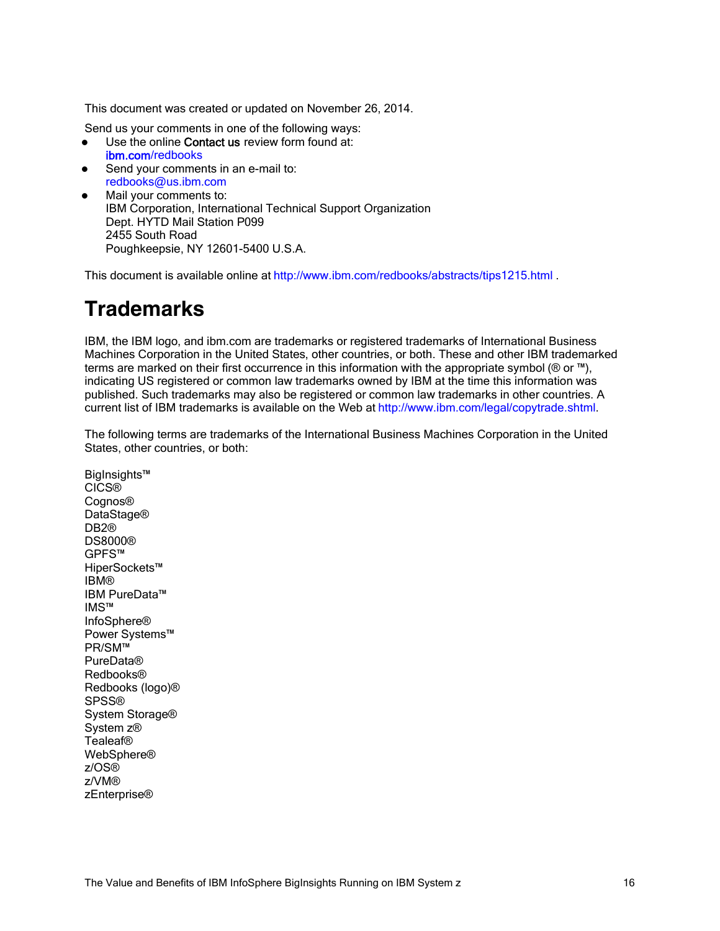This document was created or updated on November 26, 2014.

Send us your comments in one of the following ways:

- Use the online Contact us review form found at: ibm.com/redbooks
- Send your comments in an e-mail to: redbooks@us.ibm.com
- Mail your comments to: IBM Corporation, International Technical Support Organization Dept. HYTD Mail Station P099 2455 South Road Poughkeepsie, NY 12601-5400 U.S.A.

This document is available online at http://www.ibm.com/redbooks/abstracts/tips1215.html .

# **Trademarks**

IBM, the IBM logo, and ibm.com are trademarks or registered trademarks of International Business Machines Corporation in the United States, other countries, or both. These and other IBM trademarked terms are marked on their first occurrence in this information with the appropriate symbol ( $\circledR$  or  $\mathbb{M}$ ), indicating US registered or common law trademarks owned by IBM at the time this information was published. Such trademarks may also be registered or common law trademarks in other countries. A current list of IBM trademarks is available on the Web at http://www.ibm.com/legal/copytrade.shtml.

The following terms are trademarks of the International Business Machines Corporation in the United States, other countries, or both:

BigInsights™ CICS® Cognos® DataStage® DB2® DS8000® GPFS™ HiperSockets™ IBM® IBM PureData™ IMS™ InfoSphere® Power Systems™ PR/SM™ PureData® Redbooks® Redbooks (logo)® SPSS® System Storage® System z® Tealeaf® WebSphere® z/OS® z/VM® zEnterprise®